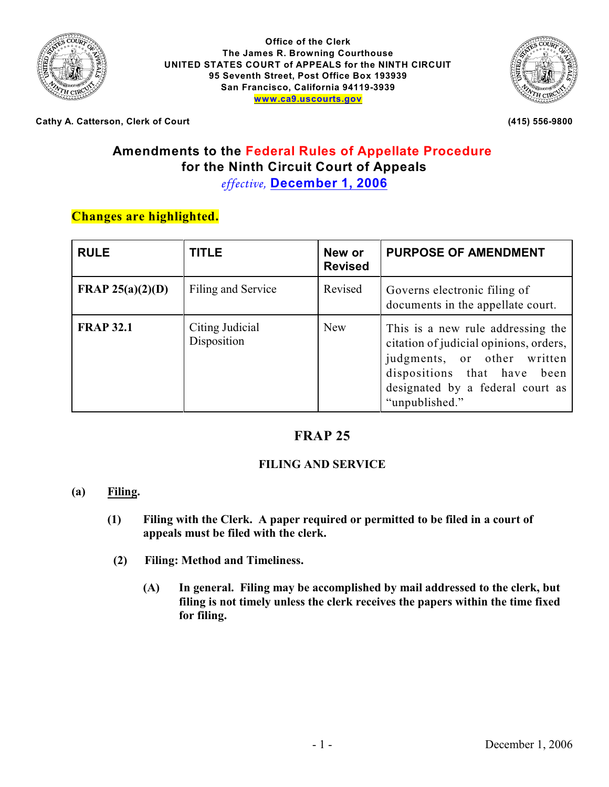

**Office of the Clerk The James R. Browning Courthouse UNITED STATES COURT of APPEALS for the NINTH CIRCUIT 95 Seventh Street, Post Office Box 193939 San Francisco, California 94119-3939 [www.ca9.uscourts.gov](http://www.ca9.uscourts.gov)**



**Cathy A. Catterson, Clerk of Court (415) 556-9800**

# **Amendments to the Federal Rules of Appellate Procedure for the Ninth Circuit Court of Appeals**

*effective,* **December 1, 2006**

## **Changes are highlighted.**

| <b>RULE</b>             | <b>TITLE</b>                   | New or<br><b>Revised</b> | <b>PURPOSE OF AMENDMENT</b>                                                                                                                                                                     |
|-------------------------|--------------------------------|--------------------------|-------------------------------------------------------------------------------------------------------------------------------------------------------------------------------------------------|
| <b>FRAP 25(a)(2)(D)</b> | Filing and Service             | Revised                  | Governs electronic filing of<br>documents in the appellate court.                                                                                                                               |
| <b>FRAP 32.1</b>        | Citing Judicial<br>Disposition | <b>New</b>               | This is a new rule addressing the<br>citation of judicial opinions, orders,<br>judgments, or other written<br>dispositions that have been<br>designated by a federal court as<br>"unpublished." |

## **FRAP 25**

#### **FILING AND SERVICE**

#### **(a) Filing.**

- **(1) Filing with the Clerk. A paper required or permitted to be filed in a court of appeals must be filed with the clerk.**
- **(2) Filing: Method and Timeliness.**
	- **(A) In general. Filing may be accomplished by mail addressed to the clerk, but filing is not timely unless the clerk receives the papers within the time fixed for filing.**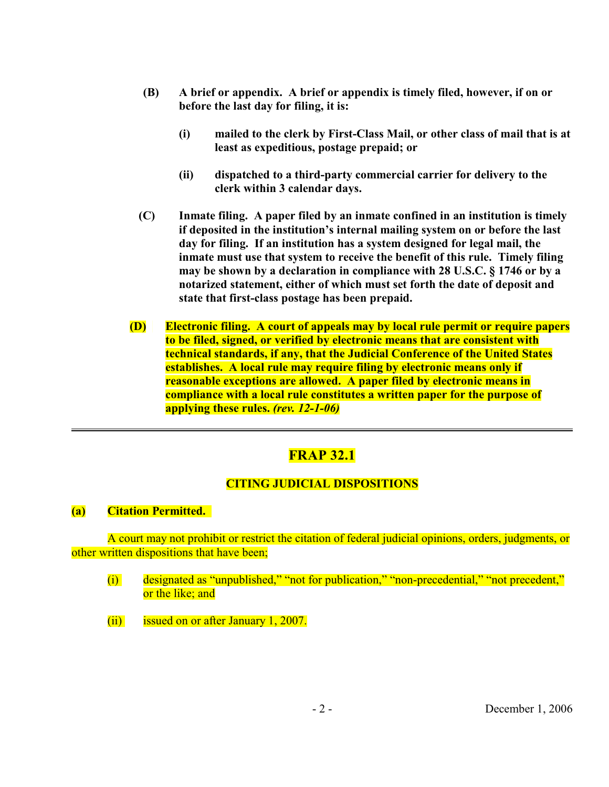- **(B) A brief or appendix. A brief or appendix is timely filed, however, if on or before the last day for filing, it is:**
	- **(i) mailed to the clerk by First-Class Mail, or other class of mail that is at least as expeditious, postage prepaid; or**
	- **(ii) dispatched to a third-party commercial carrier for delivery to the clerk within 3 calendar days.**
- **(C) Inmate filing. A paper filed by an inmate confined in an institution is timely if deposited in the institution's internal mailing system on or before the last day for filing. If an institution has a system designed for legal mail, the inmate must use that system to receive the benefit of this rule. Timely filing may be shown by a declaration in compliance with 28 U.S.C. § 1746 or by a notarized statement, either of which must set forth the date of deposit and state that first-class postage has been prepaid.**
- **(D) Electronic filing. A court of appeals may by local rule permit or require papers to be filed, signed, or verified by electronic means that are consistent with technical standards, if any, that the Judicial Conference of the United States establishes. A local rule may require filing by electronic means only if reasonable exceptions are allowed. A paper filed by electronic means in compliance with a local rule constitutes a written paper for the purpose of applying these rules.** *(rev. 12-1-06)*

# **FRAP 32.1**

#### **CITING JUDICIAL DISPOSITIONS**

#### **(a) Citation Permitted.**

A court may not prohibit or restrict the citation of federal judicial opinions, orders, judgments, or other written dispositions that have been;

- (i) designated as "unpublished," "not for publication," "non-precedential," "not precedent," or the like; and
- (ii) issued on or after January 1, 2007.